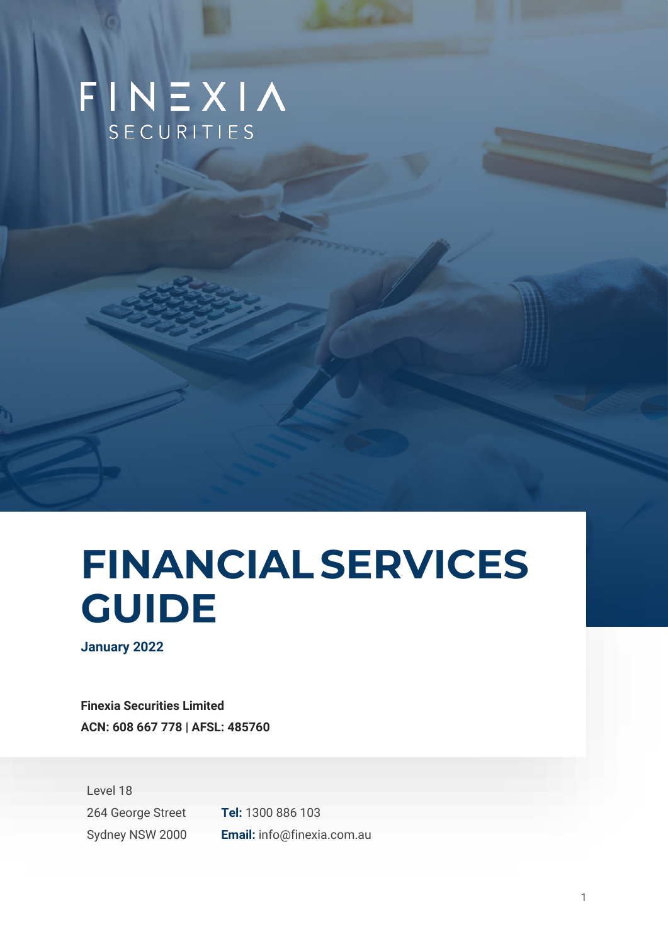## FINEXIA SECURITIES

# **FINANCIALSERVICES GUIDE**

**January 2022**

**Finexia Securities Limited ACN: 608 667 778 | AFSL: 485760**



Sydney NSW 2000 **Email:** info@finexia.com.au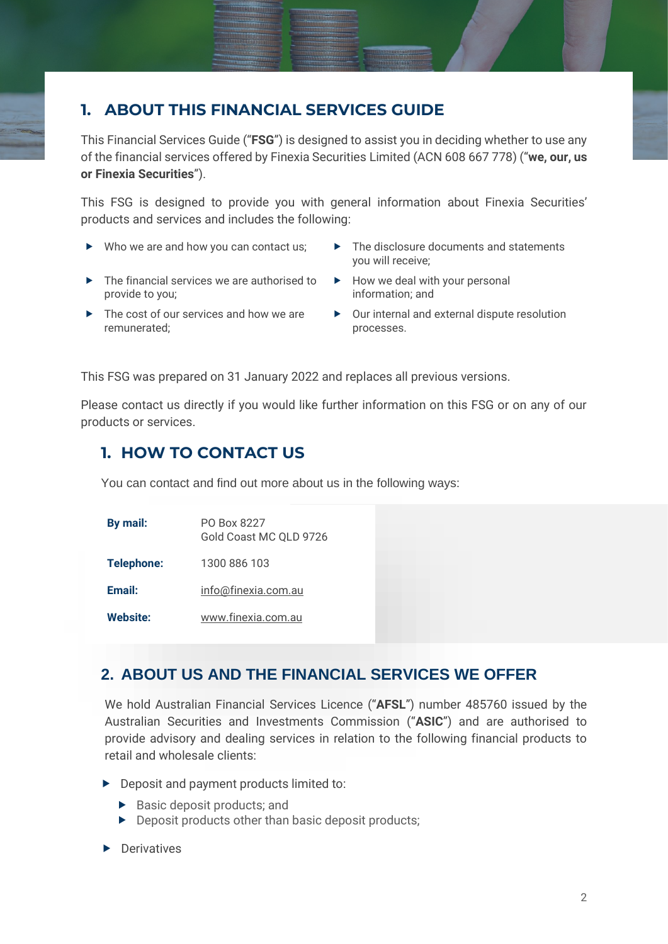## **1. ABOUT THIS FINANCIAL SERVICES GUIDE**

This Financial Services Guide ("**FSG**") is designed to assist you in deciding whether to use any of the financial services offered by Finexia Securities Limited (ACN 608 667 778) ("**we, our, us or Finexia Securities**").

This FSG is designed to provide you with general information about Finexia Securities' products and services and includes the following:

- 
- $\blacktriangleright$  The financial services we are authorised to provide to you;
- ▶ The cost of our services and how we are remunerated;
- ▶ Who we are and how you can contact us; ▶ The disclosure documents and statements you will receive;
	- $\blacktriangleright$  How we deal with your personal information; and
	- ▶ Our internal and external dispute resolution processes.

This FSG was prepared on 31 January 2022 and replaces all previous versions.

Please contact us directly if you would like further information on this FSG or on any of our products or services.

## **1. HOW TO CONTACT US**

You can contact and find out more about us in the following ways:

| By mail:          | PO Box 8227<br>Gold Coast MC QLD 9726 |
|-------------------|---------------------------------------|
| <b>Telephone:</b> | 1300 886 103                          |
| Email:            | info@finexia.com.au                   |
| <b>Website:</b>   | www.finexia.com.au                    |

## **2. ABOUT US AND THE FINANCIAL SERVICES WE OFFER**

We hold Australian Financial Services Licence ("**AFSL**") number 485760 issued by the Australian Securities and Investments Commission ("**ASIC**") and are authorised to provide advisory and dealing services in relation to the following financial products to retail and wholesale clients:

- Deposit and payment products limited to:
	- $\blacktriangleright$  Basic deposit products; and
	- **Deposit products other than basic deposit products;**
- **Derivatives**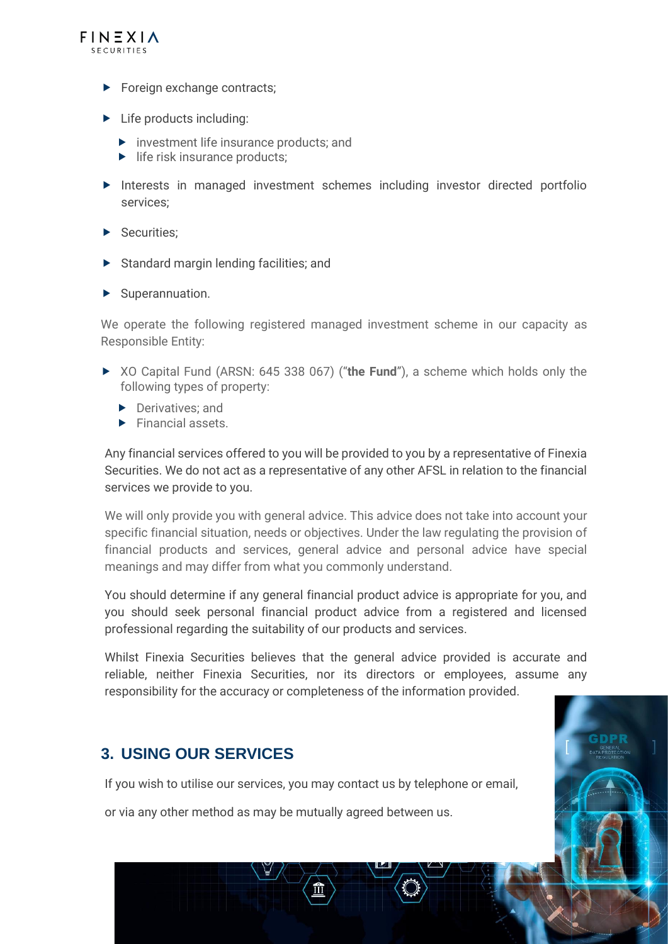

- **Foreign exchange contracts;**
- $\blacktriangleright$  Life products including:
	- ▶ investment life insurance products; and
	- $\blacktriangleright$  life risk insurance products:
- Interests in managed investment schemes including investor directed portfolio services;
- Securities:
- Standard margin lending facilities; and
- $\blacktriangleright$  Superannuation.

We operate the following registered managed investment scheme in our capacity as Responsible Entity:

- XO Capital Fund (ARSN: 645 338 067) ("**the Fund**"), a scheme which holds only the following types of property:
	- **Derivatives**; and
	- $\blacktriangleright$  Financial assets.

Any financial services offered to you will be provided to you by a representative of Finexia Securities. We do not act as a representative of any other AFSL in relation to the financial services we provide to you.

We will only provide you with general advice. This advice does not take into account your specific financial situation, needs or objectives. Under the law regulating the provision of financial products and services, general advice and personal advice have special meanings and may differ from what you commonly understand.

You should determine if any general financial product advice is appropriate for you, and you should seek personal financial product advice from a registered and licensed professional regarding the suitability of our products and services.

Whilst Finexia Securities believes that the general advice provided is accurate and reliable, neither Finexia Securities, nor its directors or employees, assume any responsibility for the accuracy or completeness of the information provided.

3

## **3. USING OUR SERVICES**

If you wish to utilise our services, you may contact us by telephone or email,

or via any other method as may be mutually agreed between us.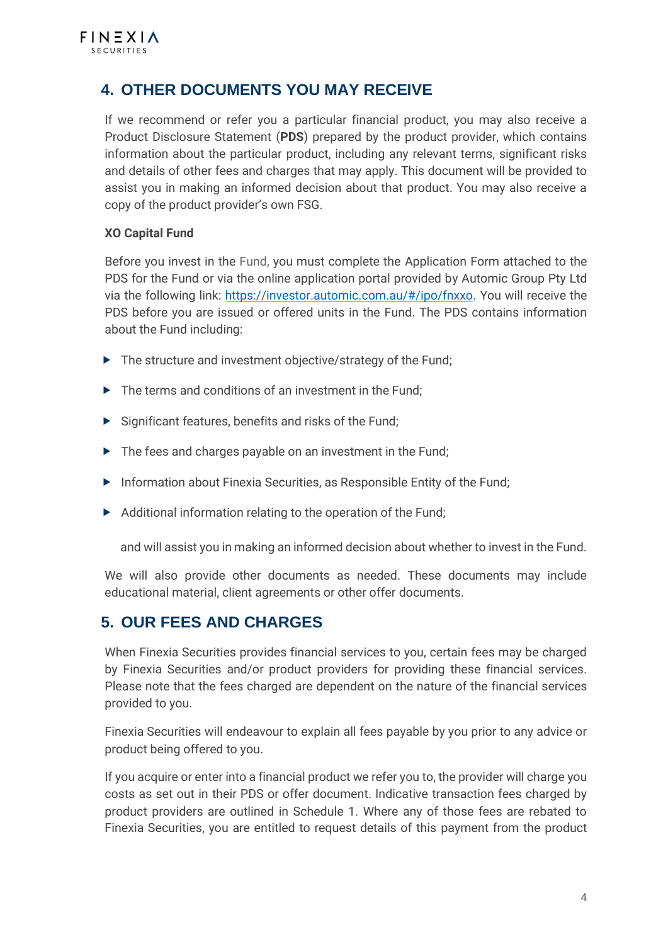## **4. OTHER DOCUMENTS YOU MAY RECEIVE**

If we recommend or refer you a particular financial product, you may also receive a Product Disclosure Statement (**PDS**) prepared by the product provider, which contains information about the particular product, including any relevant terms, significant risks and details of other fees and charges that may apply. This document will be provided to assist you in making an informed decision about that product. You may also receive a copy of the product provider's own FSG.

#### **XO Capital Fund**

Before you invest in the Fund, you must complete the Application Form attached to the PDS for the Fund or via the online application portal provided by Automic Group Pty Ltd via the following link: [https://investor.automic.com.au/#/ipo/fnxxo.](https://investor.automic.com.au/#/ipo/fnxxo) You will receive the PDS before you are issued or offered units in the Fund. The PDS contains information about the Fund including:

- ▶ The structure and investment objective/strategy of the Fund;
- ▶ The terms and conditions of an investment in the Fund;
- $\triangleright$  Significant features, benefits and risks of the Fund;
- ▶ The fees and charges payable on an investment in the Fund;
- **Information about Finexia Securities, as Responsible Entity of the Fund;**
- $\blacktriangleright$  Additional information relating to the operation of the Fund;

and will assist you in making an informed decision about whether to invest in the Fund.

We will also provide other documents as needed. These documents may include educational material, client agreements or other offer documents.

## **5. OUR FEES AND CHARGES**

When Finexia Securities provides financial services to you, certain fees may be charged by Finexia Securities and/or product providers for providing these financial services. Please note that the fees charged are dependent on the nature of the financial services provided to you.

Finexia Securities will endeavour to explain all fees payable by you prior to any advice or product being offered to you.

If you acquire or enter into a financial product we refer you to, the provider will charge you costs as set out in their PDS or offer document. Indicative transaction fees charged by product providers are outlined in Schedule 1. Where any of those fees are rebated to Finexia Securities, you are entitled to request details of this payment from the product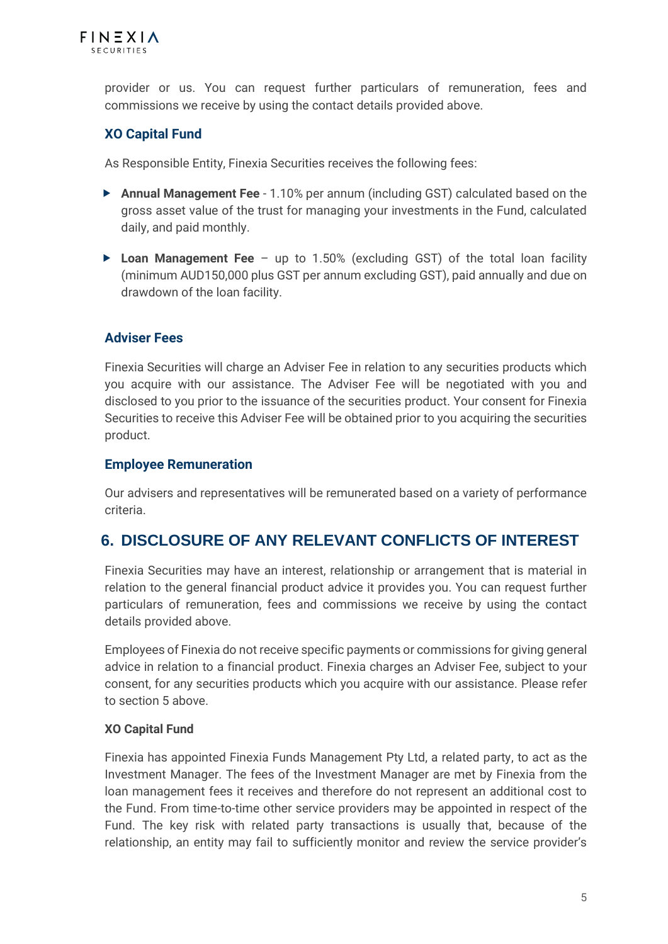

provider or us. You can request further particulars of remuneration, fees and commissions we receive by using the contact details provided above.

#### **XO Capital Fund**

As Responsible Entity, Finexia Securities receives the following fees:

- **Annual Management Fee** 1.10% per annum (including GST) calculated based on the gross asset value of the trust for managing your investments in the Fund, calculated daily, and paid monthly.
- ▶ Loan Management Fee up to 1.50% (excluding GST) of the total loan facility (minimum AUD150,000 plus GST per annum excluding GST), paid annually and due on drawdown of the loan facility.

#### **Adviser Fees**

Finexia Securities will charge an Adviser Fee in relation to any securities products which you acquire with our assistance. The Adviser Fee will be negotiated with you and disclosed to you prior to the issuance of the securities product. Your consent for Finexia Securities to receive this Adviser Fee will be obtained prior to you acquiring the securities product.

#### **Employee Remuneration**

Our advisers and representatives will be remunerated based on a variety of performance criteria.

## **6. DISCLOSURE OF ANY RELEVANT CONFLICTS OF INTEREST**

Finexia Securities may have an interest, relationship or arrangement that is material in relation to the general financial product advice it provides you. You can request further particulars of remuneration, fees and commissions we receive by using the contact details provided above.

Employees of Finexia do not receive specific payments or commissions for giving general advice in relation to a financial product. Finexia charges an Adviser Fee, subject to your consent, for any securities products which you acquire with our assistance. Please refer to section 5 above.

#### **XO Capital Fund**

Finexia has appointed Finexia Funds Management Pty Ltd, a related party, to act as the Investment Manager. The fees of the Investment Manager are met by Finexia from the loan management fees it receives and therefore do not represent an additional cost to the Fund. From time-to-time other service providers may be appointed in respect of the Fund. The key risk with related party transactions is usually that, because of the relationship, an entity may fail to sufficiently monitor and review the service provider's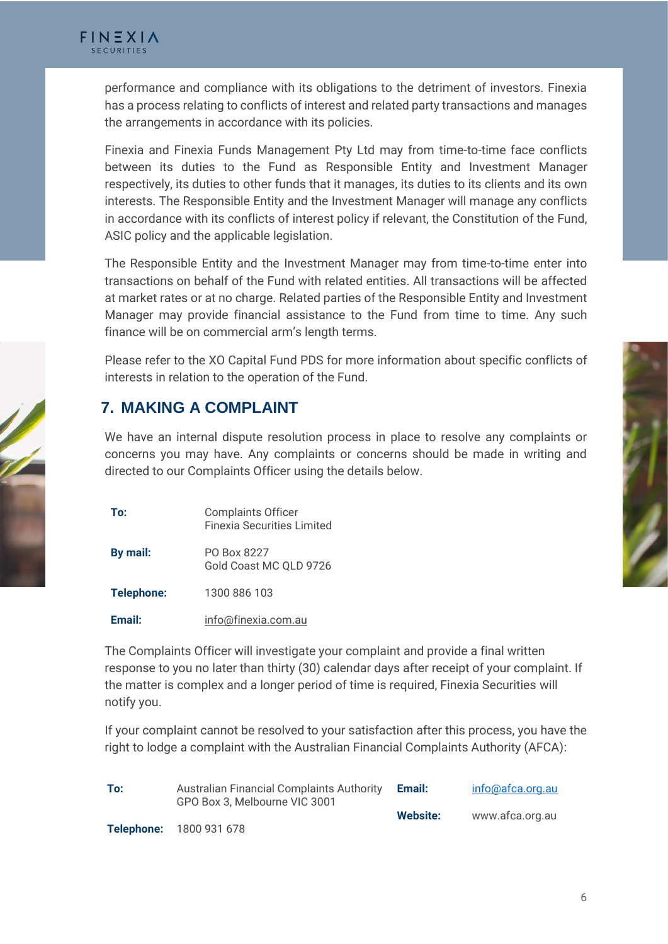

performance and compliance with its obligations to the detriment of investors. Finexia has a process relating to conflicts of interest and related party transactions and manages the arrangements in accordance with its policies.

Finexia and Finexia Funds Management Pty Ltd may from time-to-time face conflicts between its duties to the Fund as Responsible Entity and Investment Manager respectively, its duties to other funds that it manages, its duties to its clients and its own interests. The Responsible Entity and the Investment Manager will manage any conflicts in accordance with its conflicts of interest policy if relevant, the Constitution of the Fund, ASIC policy and the applicable legislation.

The Responsible Entity and the Investment Manager may from time-to-time enter into transactions on behalf of the Fund with related entities. All transactions will be affected at market rates or at no charge. Related parties of the Responsible Entity and Investment Manager may provide financial assistance to the Fund from time to time. Any such finance will be on commercial arm's length terms.

Please refer to the XO Capital Fund PDS for more information about specific conflicts of interests in relation to the operation of the Fund.

## **7. MAKING A COMPLAINT**

We have an internal dispute resolution process in place to resolve any complaints or concerns you may have. Any complaints or concerns should be made in writing and directed to our Complaints Officer using the details below.

| To:        | <b>Complaints Officer</b><br><b>Finexia Securities Limited</b> |
|------------|----------------------------------------------------------------|
| By mail:   | PO Box 8227<br>Gold Coast MC OLD 9726                          |
| Telephone: | 1300 886 103                                                   |
| Email:     | info@finexia.com.au                                            |

The Complaints Officer will investigate your complaint and provide a final written response to you no later than thirty (30) calendar days after receipt of your complaint. If the matter is complex and a longer period of time is required, Finexia Securities will notify you.

If your complaint cannot be resolved to your satisfaction after this process, you have the right to lodge a complaint with the Australian Financial Complaints Authority (AFCA):

| To: | <b>Australian Financial Complaints Authority</b><br>GPO Box 3, Melbourne VIC 3001 |          | info@afca.org.au |
|-----|-----------------------------------------------------------------------------------|----------|------------------|
|     |                                                                                   | Website: | www.afca.org.au  |
|     | Telephone: 1800 931 678                                                           |          |                  |

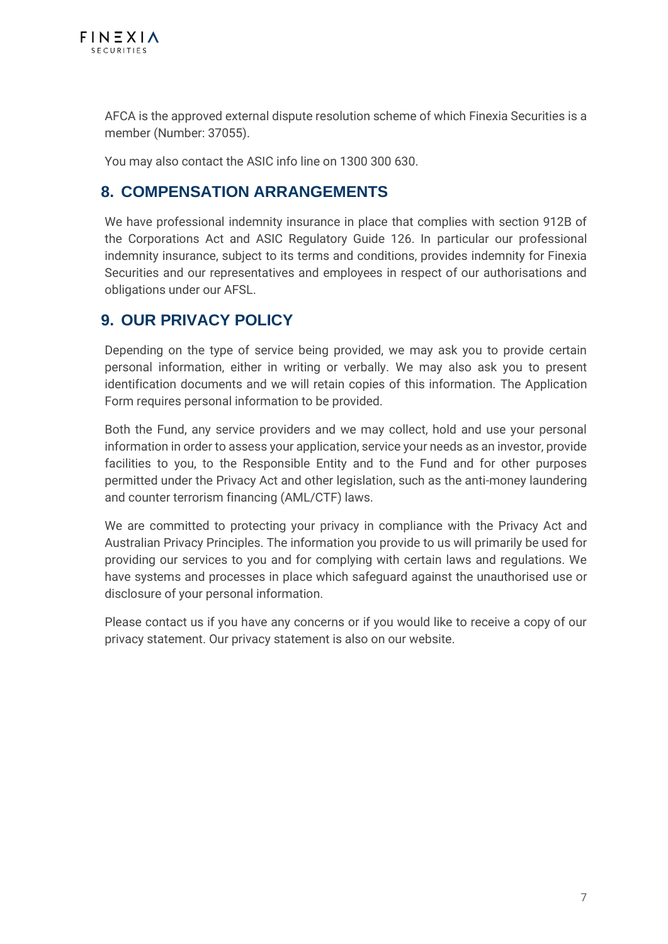

AFCA is the approved external dispute resolution scheme of which Finexia Securities is a member (Number: 37055).

You may also contact the ASIC info line on 1300 300 630.

## **8. COMPENSATION ARRANGEMENTS**

We have professional indemnity insurance in place that complies with section 912B of the Corporations Act and ASIC Regulatory Guide 126. In particular our professional indemnity insurance, subject to its terms and conditions, provides indemnity for Finexia Securities and our representatives and employees in respect of our authorisations and obligations under our AFSL.

## **9. OUR PRIVACY POLICY**

Depending on the type of service being provided, we may ask you to provide certain personal information, either in writing or verbally. We may also ask you to present identification documents and we will retain copies of this information. The Application Form requires personal information to be provided.

Both the Fund, any service providers and we may collect, hold and use your personal information in order to assess your application, service your needs as an investor, provide facilities to you, to the Responsible Entity and to the Fund and for other purposes permitted under the Privacy Act and other legislation, such as the anti-money laundering and counter terrorism financing (AML/CTF) laws.

We are committed to protecting your privacy in compliance with the Privacy Act and Australian Privacy Principles. The information you provide to us will primarily be used for providing our services to you and for complying with certain laws and regulations. We have systems and processes in place which safeguard against the unauthorised use or disclosure of your personal information.

Please contact us if you have any concerns or if you would like to receive a copy of our privacy statement. Our privacy statement is also on our website.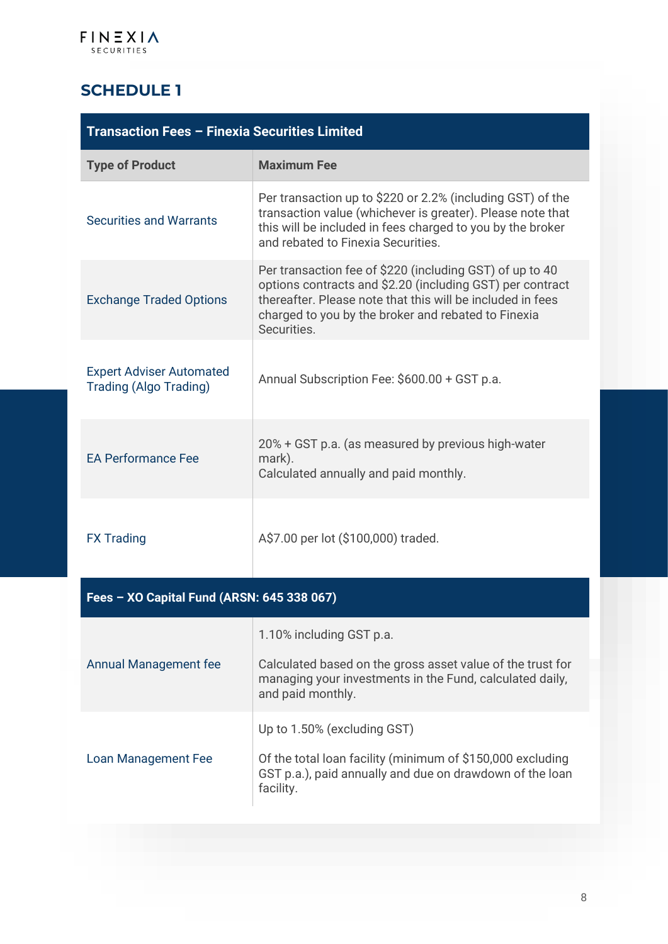## **SCHEDULE 1**

| Transaction Fees - Finexia Securities Limited                    |                                                                                                                                                                                                                                                           |  |  |
|------------------------------------------------------------------|-----------------------------------------------------------------------------------------------------------------------------------------------------------------------------------------------------------------------------------------------------------|--|--|
| <b>Type of Product</b>                                           | <b>Maximum Fee</b>                                                                                                                                                                                                                                        |  |  |
| <b>Securities and Warrants</b>                                   | Per transaction up to \$220 or 2.2% (including GST) of the<br>transaction value (whichever is greater). Please note that<br>this will be included in fees charged to you by the broker<br>and rebated to Finexia Securities.                              |  |  |
| <b>Exchange Traded Options</b>                                   | Per transaction fee of \$220 (including GST) of up to 40<br>options contracts and \$2.20 (including GST) per contract<br>thereafter. Please note that this will be included in fees<br>charged to you by the broker and rebated to Finexia<br>Securities. |  |  |
| <b>Expert Adviser Automated</b><br><b>Trading (Algo Trading)</b> | Annual Subscription Fee: \$600.00 + GST p.a.                                                                                                                                                                                                              |  |  |
| <b>EA Performance Fee</b>                                        | 20% + GST p.a. (as measured by previous high-water<br>mark).<br>Calculated annually and paid monthly.                                                                                                                                                     |  |  |
| <b>FX Trading</b>                                                | A\$7.00 per lot (\$100,000) traded.                                                                                                                                                                                                                       |  |  |
|                                                                  |                                                                                                                                                                                                                                                           |  |  |

| Fees – XO Capital Fund (ARSN: 645 338 067) |                                                                                                                                                                         |  |  |
|--------------------------------------------|-------------------------------------------------------------------------------------------------------------------------------------------------------------------------|--|--|
| <b>Annual Management fee</b>               | 1.10% including GST p.a.<br>Calculated based on the gross asset value of the trust for<br>managing your investments in the Fund, calculated daily,<br>and paid monthly. |  |  |
| Loan Management Fee                        | Up to 1.50% (excluding GST)<br>Of the total loan facility (minimum of \$150,000 excluding<br>GST p.a.), paid annually and due on drawdown of the loan<br>facility.      |  |  |